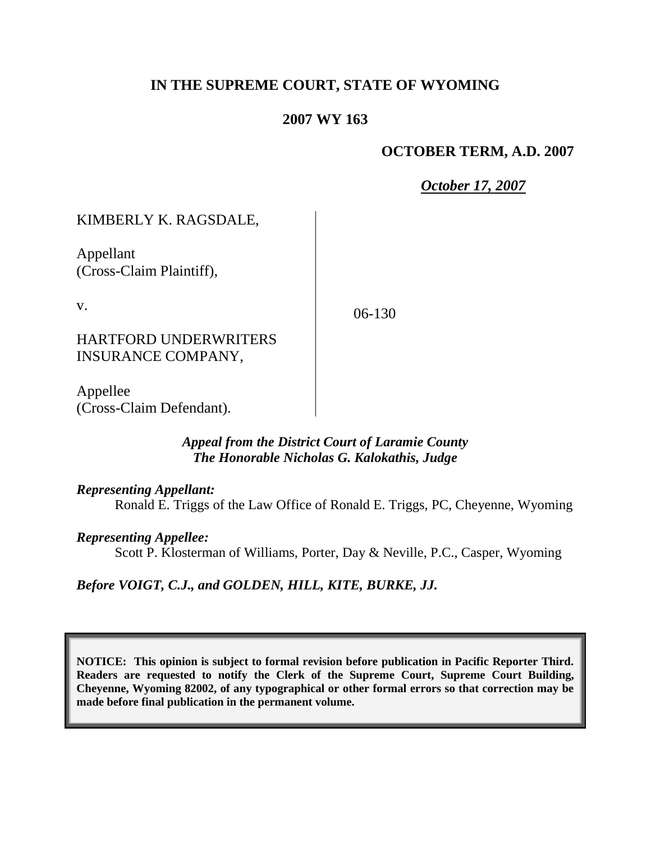# **IN THE SUPREME COURT, STATE OF WYOMING**

# **2007 WY 163**

### **OCTOBER TERM, A.D. 2007**

*October 17, 2007*

KIMBERLY K. RAGSDALE,

Appellant (Cross-Claim Plaintiff),

v.

06-130

HARTFORD UNDERWRITERS INSURANCE COMPANY,

Appellee (Cross-Claim Defendant).

## *Appeal from the District Court of Laramie County The Honorable Nicholas G. Kalokathis, Judge*

*Representing Appellant:*

Ronald E. Triggs of the Law Office of Ronald E. Triggs, PC, Cheyenne, Wyoming

*Representing Appellee:*

Scott P. Klosterman of Williams, Porter, Day & Neville, P.C., Casper, Wyoming

*Before VOIGT, C.J., and GOLDEN, HILL, KITE, BURKE, JJ.*

**NOTICE: This opinion is subject to formal revision before publication in Pacific Reporter Third. Readers are requested to notify the Clerk of the Supreme Court, Supreme Court Building, Cheyenne, Wyoming 82002, of any typographical or other formal errors so that correction may be made before final publication in the permanent volume.**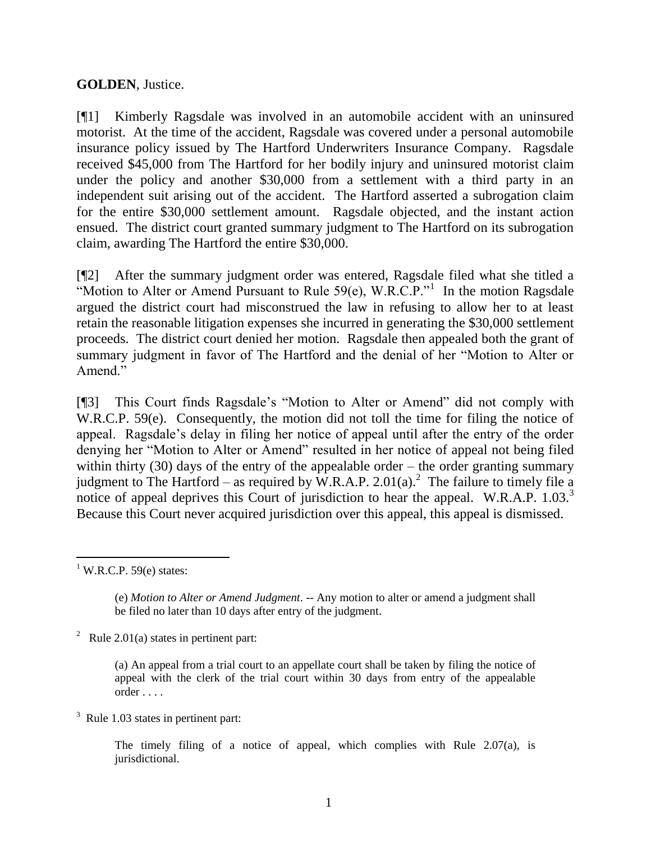### **GOLDEN**, Justice.

[¶1] Kimberly Ragsdale was involved in an automobile accident with an uninsured motorist. At the time of the accident, Ragsdale was covered under a personal automobile insurance policy issued by The Hartford Underwriters Insurance Company. Ragsdale received \$45,000 from The Hartford for her bodily injury and uninsured motorist claim under the policy and another \$30,000 from a settlement with a third party in an independent suit arising out of the accident. The Hartford asserted a subrogation claim for the entire \$30,000 settlement amount. Ragsdale objected, and the instant action ensued. The district court granted summary judgment to The Hartford on its subrogation claim, awarding The Hartford the entire \$30,000.

[¶2] After the summary judgment order was entered, Ragsdale filed what she titled a "Motion to Alter or Amend Pursuant to Rule  $59(e)$ , W.R.C.P."<sup>1</sup> In the motion Ragsdale argued the district court had misconstrued the law in refusing to allow her to at least retain the reasonable litigation expenses she incurred in generating the \$30,000 settlement proceeds. The district court denied her motion. Ragsdale then appealed both the grant of summary judgment in favor of The Hartford and the denial of her "Motion to Alter or Amend<sup>"</sup>

[¶3] This Court finds Ragsdale's "Motion to Alter or Amend" did not comply with W.R.C.P. 59(e). Consequently, the motion did not toll the time for filing the notice of appeal. Ragsdale's delay in filing her notice of appeal until after the entry of the order denying her "Motion to Alter or Amend" resulted in her notice of appeal not being filed within thirty (30) days of the entry of the appealable order – the order granting summary judgment to The Hartford – as required by W.R.A.P. 2.01(a).<sup>2</sup> The failure to timely file a notice of appeal deprives this Court of jurisdiction to hear the appeal. W.R.A.P. 1.03.<sup>3</sup> Because this Court never acquired jurisdiction over this appeal, this appeal is dismissed.

<sup>2</sup> Rule 2.01(a) states in pertinent part:

 $3$  Rule 1.03 states in pertinent part:

The timely filing of a notice of appeal, which complies with Rule  $2.07(a)$ , is jurisdictional.

 $1$  W.R.C.P. 59(e) states:

<sup>(</sup>e) *Motion to Alter or Amend Judgment*. -- Any motion to alter or amend a judgment shall be filed no later than 10 days after entry of the judgment.

<sup>(</sup>a) An appeal from a trial court to an appellate court shall be taken by filing the notice of appeal with the clerk of the trial court within 30 days from entry of the appealable order . . . .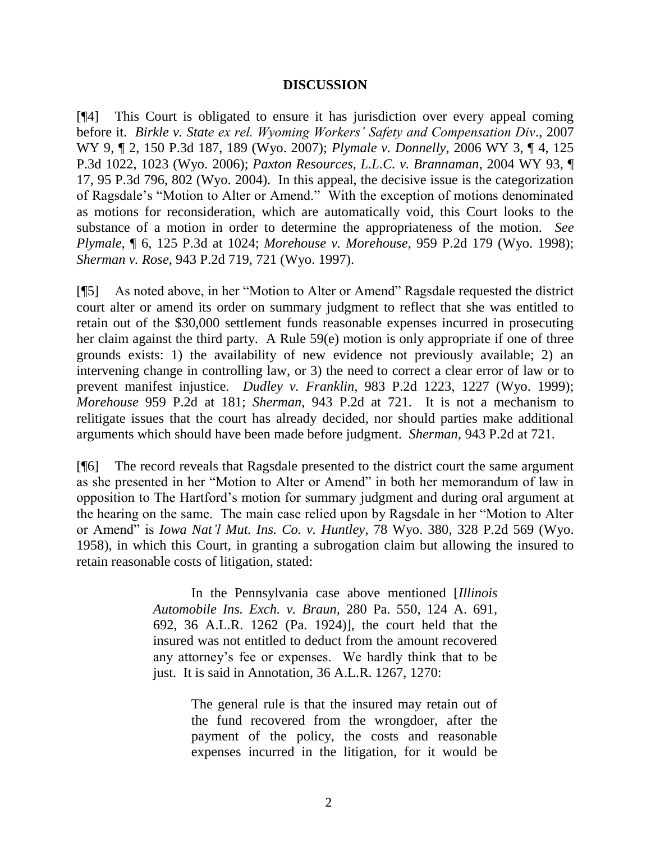#### **DISCUSSION**

[¶4] This Court is obligated to ensure it has jurisdiction over every appeal coming before it. *Birkle v. State ex rel. Wyoming Workers' Safety and Compensation Div*., 2007 WY 9, ¶ 2, 150 P.3d 187, 189 (Wyo. 2007); *Plymale v. Donnelly*, 2006 WY 3, ¶ 4, 125 P.3d 1022, 1023 (Wyo. 2006); *Paxton Resources, L.L.C. v. Brannaman*, 2004 WY 93, ¶ 17, 95 P.3d 796, 802 (Wyo. 2004). In this appeal, the decisive issue is the categorization of Ragsdale's "Motion to Alter or Amend." With the exception of motions denominated as motions for reconsideration, which are automatically void, this Court looks to the substance of a motion in order to determine the appropriateness of the motion. *See Plymale*, ¶ 6, 125 P.3d at 1024; *Morehouse v. Morehouse*, 959 P.2d 179 (Wyo. 1998); *Sherman v. Rose*, 943 P.2d 719, 721 (Wyo. 1997).

[¶5] As noted above, in her "Motion to Alter or Amend" Ragsdale requested the district court alter or amend its order on summary judgment to reflect that she was entitled to retain out of the \$30,000 settlement funds reasonable expenses incurred in prosecuting her claim against the third party. A Rule 59(e) motion is only appropriate if one of three grounds exists: 1) the availability of new evidence not previously available; 2) an intervening change in controlling law, or 3) the need to correct a clear error of law or to prevent manifest injustice. *Dudley v. Franklin*, 983 P.2d 1223, 1227 (Wyo. 1999); *Morehouse* 959 P.2d at 181; *Sherman*, 943 P.2d at 721. It is not a mechanism to relitigate issues that the court has already decided, nor should parties make additional arguments which should have been made before judgment. *Sherman*, 943 P.2d at 721.

[¶6] The record reveals that Ragsdale presented to the district court the same argument as she presented in her "Motion to Alter or Amend" in both her memorandum of law in opposition to The Hartford's motion for summary judgment and during oral argument at the hearing on the same. The main case relied upon by Ragsdale in her "Motion to Alter or Amend" is *Iowa Nat'l Mut. Ins. Co. v. Huntley*, 78 Wyo. 380, 328 P.2d 569 (Wyo. 1958), in which this Court, in granting a subrogation claim but allowing the insured to retain reasonable costs of litigation, stated:

> In the Pennsylvania case above mentioned [*Illinois Automobile Ins. Exch. v. Braun,* 280 Pa. 550, 124 A. 691, 692, 36 A.L.R. 1262 (Pa. 1924)], the court held that the insured was not entitled to deduct from the amount recovered any attorney's fee or expenses. We hardly think that to be just. It is said in Annotation, 36 A.L.R. 1267, 1270:

> > The general rule is that the insured may retain out of the fund recovered from the wrongdoer, after the payment of the policy, the costs and reasonable expenses incurred in the litigation, for it would be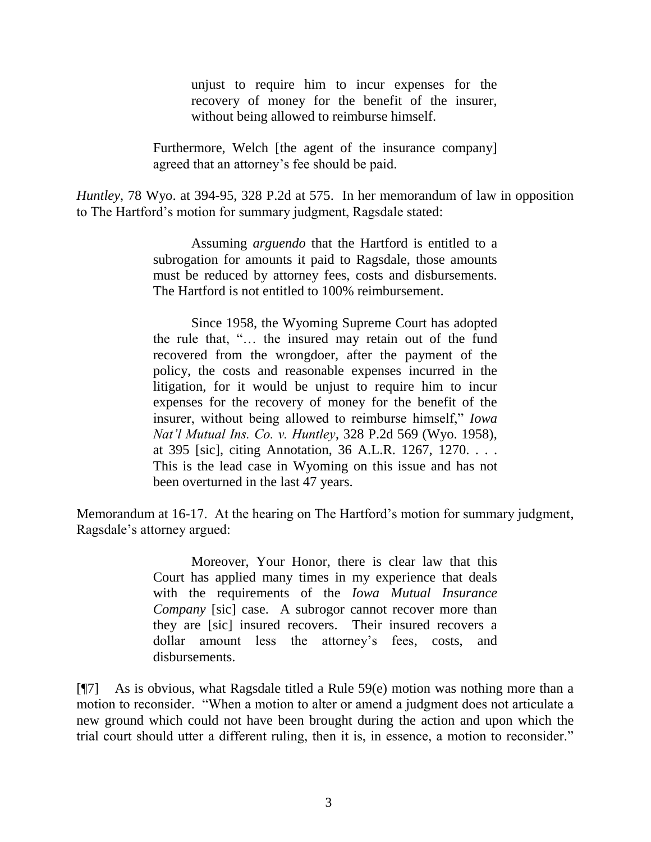unjust to require him to incur expenses for the recovery of money for the benefit of the insurer, without being allowed to reimburse himself.

Furthermore, Welch [the agent of the insurance company] agreed that an attorney's fee should be paid.

*Huntley*, 78 Wyo. at 394-95, 328 P.2d at 575. In her memorandum of law in opposition to The Hartford's motion for summary judgment, Ragsdale stated:

> Assuming *arguendo* that the Hartford is entitled to a subrogation for amounts it paid to Ragsdale, those amounts must be reduced by attorney fees, costs and disbursements. The Hartford is not entitled to 100% reimbursement.

> Since 1958, the Wyoming Supreme Court has adopted the rule that, "… the insured may retain out of the fund recovered from the wrongdoer, after the payment of the policy, the costs and reasonable expenses incurred in the litigation, for it would be unjust to require him to incur expenses for the recovery of money for the benefit of the insurer, without being allowed to reimburse himself," *Iowa Nat'l Mutual Ins. Co. v. Huntley*, 328 P.2d 569 (Wyo. 1958), at 395 [sic], citing Annotation, 36 A.L.R. 1267, 1270. . . . This is the lead case in Wyoming on this issue and has not been overturned in the last 47 years.

Memorandum at 16-17. At the hearing on The Hartford's motion for summary judgment, Ragsdale's attorney argued:

> Moreover, Your Honor, there is clear law that this Court has applied many times in my experience that deals with the requirements of the *Iowa Mutual Insurance Company* [sic] case. A subrogor cannot recover more than they are [sic] insured recovers. Their insured recovers a dollar amount less the attorney's fees, costs, and disbursements.

[¶7] As is obvious, what Ragsdale titled a Rule 59(e) motion was nothing more than a motion to reconsider. "When a motion to alter or amend a judgment does not articulate a new ground which could not have been brought during the action and upon which the trial court should utter a different ruling, then it is, in essence, a motion to reconsider."